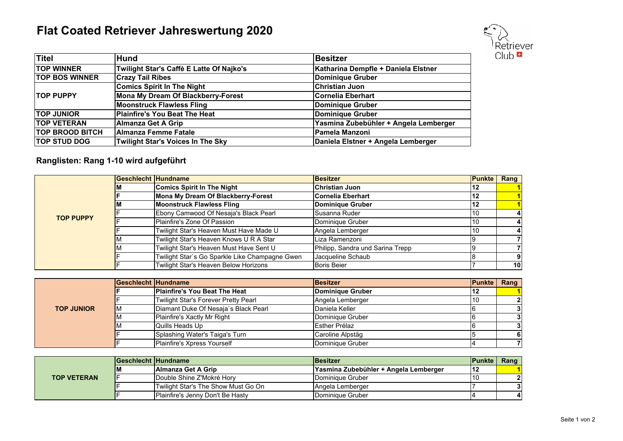## **Flat Coated Retriever Jahreswertung 2020**



| <b>Titel</b>           | <b>Hund</b>                              | <b>Besitzer</b>                       |
|------------------------|------------------------------------------|---------------------------------------|
| <b>TOP WINNER</b>      | Twilight Star's Caffè E Latte Of Najko's | Katharina Dempfle + Daniela Elstner   |
| <b>TOP BOS WINNER</b>  | <b>Crazy Tail Ribes</b>                  | Dominique Gruber                      |
|                        | <b>Comics Spirit In The Night</b>        | <b>Christian Juon</b>                 |
| <b>TOP PUPPY</b>       | Mona My Dream Of Blackberry-Forest       | <b>Cornelia Eberhart</b>              |
|                        | <b>Moonstruck Flawless Fling</b>         | Dominique Gruber                      |
| <b>TOP JUNIOR</b>      | Plainfire's You Beat The Heat            | Dominique Gruber                      |
| <b>ITOP VETERAN</b>    | Almanza Get A Grip                       | Yasmina Zubebühler + Angela Lemberger |
| <b>TOP BROOD BITCH</b> | <b>IAlmanza Femme Fatale</b>             | Pamela Manzoni                        |
| <b>TOP STUD DOG</b>    | <b>Twilight Star's Voices In The Sky</b> | Daniela Elstner + Angela Lemberger    |

## **Ranglisten: Rang 1-10 wird aufgeführt**

|                  | <b>Geschlecht Hundname</b>                     | <b>Besitzer</b>                  | <b>IPunkte</b> | Rang            |
|------------------|------------------------------------------------|----------------------------------|----------------|-----------------|
|                  | <b>Comics Spirit In The Night</b>              | <b>Christian Juon</b>            | 12             |                 |
|                  | Mona My Dream Of Blackberry-Forest             | <b>Cornelia Eberhart</b>         | 12             |                 |
|                  | <b>Moonstruck Flawless Fling</b>               | Dominique Gruber                 | 12             |                 |
| <b>TOP PUPPY</b> | Ebony Camwood Of Nesaja's Black Pearl          | Susanna Ruder                    | 10             |                 |
|                  | Plainfire's Zone Of Passion                    | Dominique Gruber                 |                |                 |
|                  | Twilight Star's Heaven Must Have Made U        | Angela Lemberger                 |                |                 |
|                  | Twilight Star's Heaven Knows U R A Star        | Liza Ramenzoni                   |                |                 |
|                  | Twilight Star's Heaven Must Have Sent U        | Philipp, Sandra und Sarina Trepp |                |                 |
|                  | Twilight Star's Go Sparkle Like Champagne Gwen | Jacqueline Schaub                |                |                 |
|                  | Twilight Star's Heaven Below Horizons          | <b>Boris Beier</b>               |                | 10 <sup>1</sup> |

|                   | <b>Geschlecht Hundname</b> |                                       | <b>Besitzer</b>  | <b>Punkte Rang</b> |  |
|-------------------|----------------------------|---------------------------------------|------------------|--------------------|--|
|                   |                            | <b>IPlainfire's You Beat The Heat</b> | Dominique Gruber |                    |  |
|                   |                            | Twilight Star's Forever Pretty Pearl  | Angela Lemberger |                    |  |
| <b>TOP JUNIOR</b> | ΙM                         | Diamant Duke Of Nesaja's Black Pearl  | Daniela Keller   |                    |  |
|                   |                            | Plainfire's Xactly Mr Right           | Dominique Gruber |                    |  |
|                   |                            | Quills Heads Up                       | Esther Prélaz    |                    |  |
|                   |                            | Splashing Water's Taiga's Turn        | Caroline Alpstäg |                    |  |
|                   |                            | Plainfire's Xpress Yourself           | Dominique Gruber |                    |  |

| <b>TOP VETERAN</b> | <b>IGeschlecht Hundname</b> |                                     | <b>Besitzer</b>                        | lPunkte | Rang |
|--------------------|-----------------------------|-------------------------------------|----------------------------------------|---------|------|
|                    | ιм                          | <b>IAImanza Get A Grip</b>          | lYasmina Zubebühler + Angela Lemberger |         |      |
|                    |                             | Double Shine Z'Mokré Horv           | Dominique Gruber                       |         | וכי  |
|                    |                             | Twilight Star's The Show Must Go On | Angela Lemberger                       |         |      |
|                    |                             | Plainfire's Jenny Don't Be Hasty    | Dominique Gruber                       |         |      |